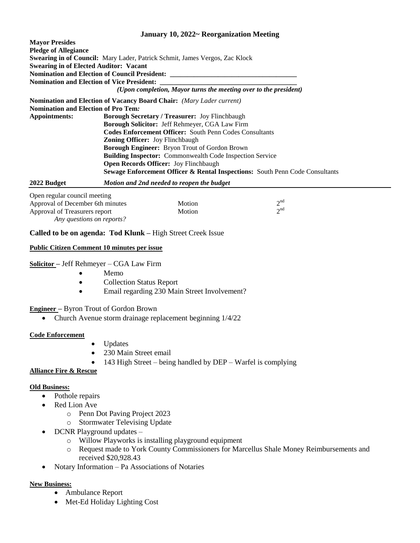# **January 10, 2022~ Reorganization Meeting**

| <b>Mavor Presides</b>                         |                                                                                         |
|-----------------------------------------------|-----------------------------------------------------------------------------------------|
| <b>Pledge of Allegiance</b>                   |                                                                                         |
|                                               | <b>Swearing in of Council:</b> Mary Lader, Patrick Schmit, James Vergos, Zac Klock      |
| <b>Swearing in of Elected Auditor: Vacant</b> |                                                                                         |
|                                               | Nomination and Election of Council President: __________________________________        |
|                                               | <b>Nomination and Election of Vice President:</b>                                       |
|                                               | (Upon completion, Mayor turns the meeting over to the president)                        |
|                                               | <b>Nomination and Election of Vacancy Board Chair:</b> (Mary Lader current)             |
| <b>Nomination and Election of Pro Tem.</b>    |                                                                                         |
| Appointments:                                 | <b>Borough Secretary / Treasurer: Joy Flinchbaugh</b>                                   |
|                                               | <b>Borough Solicitor:</b> Jeff Rehmeyer, CGA Law Firm                                   |
|                                               | <b>Codes Enforcement Officer:</b> South Penn Codes Consultants                          |
|                                               | <b>Zoning Officer:</b> Joy Flinchbaugh                                                  |
|                                               | <b>Borough Engineer:</b> Bryon Trout of Gordon Brown                                    |
|                                               | <b>Building Inspector:</b> Commonwealth Code Inspection Service                         |
|                                               | Open Records Officer: Joy Flinchbaugh                                                   |
|                                               | <b>Sewage Enforcement Officer &amp; Rental Inspections:</b> South Penn Code Consultants |
|                                               |                                                                                         |

**2022 Budget** *Motion and 2nd needed to reopen the budget*

| Open regular council meeting     |        |             |
|----------------------------------|--------|-------------|
| Approval of December 6th minutes | Motion | $\gamma$ nd |
| Approval of Treasurers report    | Motion | $\gamma$ nd |
| Any questions on reports?        |        |             |

# **Called to be on agenda: Tod Klunk –** High Street Creek Issue

#### **Public Citizen Comment 10 minutes per issue**

**Solicitor –** Jeff Rehmeyer – CGA Law Firm

- Memo
- Collection Status Report
- Email regarding 230 Main Street Involvement?

**Engineer –** Byron Trout of Gordon Brown

• Church Avenue storm drainage replacement beginning  $1/4/22$ 

#### **Code Enforcement**

- Updates
	- 230 Main Street email
- 143 High Street being handled by DEP Warfel is complying

#### **Alliance Fire & Rescue**

#### **Old Business:**

- Pothole repairs
- Red Lion Ave
	- o Penn Dot Paving Project 2023
	- o Stormwater Televising Update
- DCNR Playground updates
	- o Willow Playworks is installing playground equipment
	- o Request made to York County Commissioners for Marcellus Shale Money Reimbursements and received \$20,928.43
- Notary Information Pa Associations of Notaries

#### **New Business:**

- Ambulance Report
- Met-Ed Holiday Lighting Cost